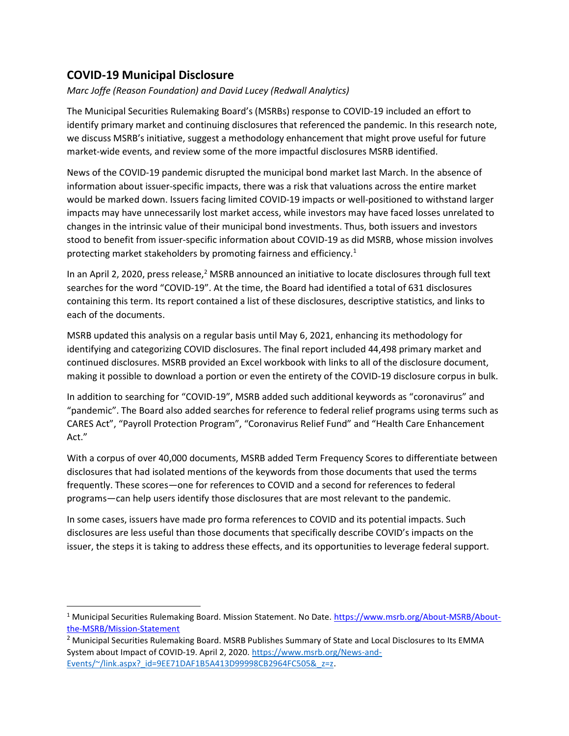## COVID-19 Municipal Disclosure

Marc Joffe (Reason Foundation) and David Lucey (Redwall Analytics)

The Municipal Securities Rulemaking Board's (MSRBs) response to COVID-19 included an effort to identify primary market and continuing disclosures that referenced the pandemic. In this research note, we discuss MSRB's initiative, suggest a methodology enhancement that might prove useful for future market-wide events, and review some of the more impactful disclosures MSRB identified.

News of the COVID-19 pandemic disrupted the municipal bond market last March. In the absence of information about issuer-specific impacts, there was a risk that valuations across the entire market would be marked down. Issuers facing limited COVID-19 impacts or well-positioned to withstand larger impacts may have unnecessarily lost market access, while investors may have faced losses unrelated to changes in the intrinsic value of their municipal bond investments. Thus, both issuers and investors stood to benefit from issuer-specific information about COVID-19 as did MSRB, whose mission involves protecting market stakeholders by promoting fairness and efficiency.<sup>1</sup>

In an April 2, 2020, press release,<sup>2</sup> MSRB announced an initiative to locate disclosures through full text searches for the word "COVID-19". At the time, the Board had identified a total of 631 disclosures containing this term. Its report contained a list of these disclosures, descriptive statistics, and links to each of the documents.

MSRB updated this analysis on a regular basis until May 6, 2021, enhancing its methodology for identifying and categorizing COVID disclosures. The final report included 44,498 primary market and continued disclosures. MSRB provided an Excel workbook with links to all of the disclosure document, making it possible to download a portion or even the entirety of the COVID-19 disclosure corpus in bulk.

In addition to searching for "COVID-19", MSRB added such additional keywords as "coronavirus" and "pandemic". The Board also added searches for reference to federal relief programs using terms such as CARES Act", "Payroll Protection Program", "Coronavirus Relief Fund" and "Health Care Enhancement Act."

With a corpus of over 40,000 documents, MSRB added Term Frequency Scores to differentiate between disclosures that had isolated mentions of the keywords from those documents that used the terms frequently. These scores—one for references to COVID and a second for references to federal programs—can help users identify those disclosures that are most relevant to the pandemic.

In some cases, issuers have made pro forma references to COVID and its potential impacts. Such disclosures are less useful than those documents that specifically describe COVID's impacts on the issuer, the steps it is taking to address these effects, and its opportunities to leverage federal support.

<sup>&</sup>lt;sup>1</sup> Municipal Securities Rulemaking Board. Mission Statement. No Date. https://www.msrb.org/About-MSRB/Aboutthe-MSRB/Mission-Statement

<sup>&</sup>lt;sup>2</sup> Municipal Securities Rulemaking Board. MSRB Publishes Summary of State and Local Disclosures to Its EMMA System about Impact of COVID-19. April 2, 2020. https://www.msrb.org/News-and-Events/~/link.aspx?\_id=9EE71DAF1B5A413D99998CB2964FC505&\_z=z.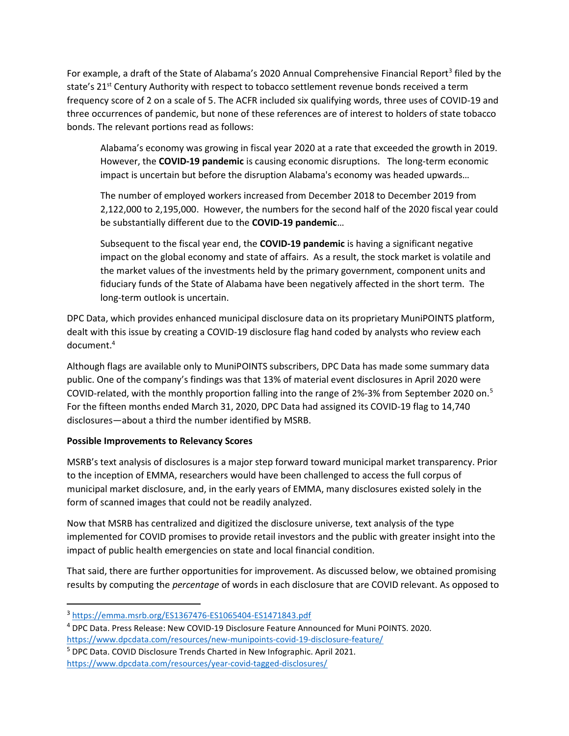For example, a draft of the State of Alabama's 2020 Annual Comprehensive Financial Report<sup>3</sup> filed by the state's 21<sup>st</sup> Century Authority with respect to tobacco settlement revenue bonds received a term frequency score of 2 on a scale of 5. The ACFR included six qualifying words, three uses of COVID-19 and three occurrences of pandemic, but none of these references are of interest to holders of state tobacco bonds. The relevant portions read as follows:

Alabama's economy was growing in fiscal year 2020 at a rate that exceeded the growth in 2019. However, the COVID-19 pandemic is causing economic disruptions. The long-term economic impact is uncertain but before the disruption Alabama's economy was headed upwards…

The number of employed workers increased from December 2018 to December 2019 from 2,122,000 to 2,195,000. However, the numbers for the second half of the 2020 fiscal year could be substantially different due to the COVID-19 pandemic...

Subsequent to the fiscal year end, the **COVID-19 pandemic** is having a significant negative impact on the global economy and state of affairs. As a result, the stock market is volatile and the market values of the investments held by the primary government, component units and fiduciary funds of the State of Alabama have been negatively affected in the short term. The long-term outlook is uncertain.

DPC Data, which provides enhanced municipal disclosure data on its proprietary MuniPOINTS platform, dealt with this issue by creating a COVID-19 disclosure flag hand coded by analysts who review each document.<sup>4</sup>

Although flags are available only to MuniPOINTS subscribers, DPC Data has made some summary data public. One of the company's findings was that 13% of material event disclosures in April 2020 were COVID-related, with the monthly proportion falling into the range of 2%-3% from September 2020 on.<sup>5</sup> For the fifteen months ended March 31, 2020, DPC Data had assigned its COVID-19 flag to 14,740 disclosures—about a third the number identified by MSRB.

## Possible Improvements to Relevancy Scores

MSRB's text analysis of disclosures is a major step forward toward municipal market transparency. Prior to the inception of EMMA, researchers would have been challenged to access the full corpus of municipal market disclosure, and, in the early years of EMMA, many disclosures existed solely in the form of scanned images that could not be readily analyzed.

Now that MSRB has centralized and digitized the disclosure universe, text analysis of the type implemented for COVID promises to provide retail investors and the public with greater insight into the impact of public health emergencies on state and local financial condition.

That said, there are further opportunities for improvement. As discussed below, we obtained promising results by computing the *percentage* of words in each disclosure that are COVID relevant. As opposed to

<sup>3</sup> https://emma.msrb.org/ES1367476-ES1065404-ES1471843.pdf

<sup>4</sup> DPC Data. Press Release: New COVID-19 Disclosure Feature Announced for Muni POINTS. 2020. https://www.dpcdata.com/resources/new-munipoints-covid-19-disclosure-feature/

<sup>&</sup>lt;sup>5</sup> DPC Data. COVID Disclosure Trends Charted in New Infographic. April 2021. https://www.dpcdata.com/resources/year-covid-tagged-disclosures/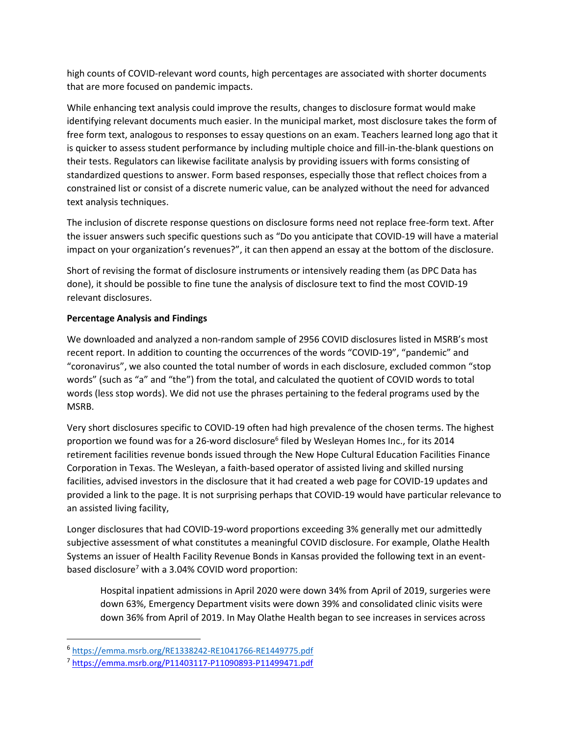high counts of COVID-relevant word counts, high percentages are associated with shorter documents that are more focused on pandemic impacts.

While enhancing text analysis could improve the results, changes to disclosure format would make identifying relevant documents much easier. In the municipal market, most disclosure takes the form of free form text, analogous to responses to essay questions on an exam. Teachers learned long ago that it is quicker to assess student performance by including multiple choice and fill-in-the-blank questions on their tests. Regulators can likewise facilitate analysis by providing issuers with forms consisting of standardized questions to answer. Form based responses, especially those that reflect choices from a constrained list or consist of a discrete numeric value, can be analyzed without the need for advanced text analysis techniques.

The inclusion of discrete response questions on disclosure forms need not replace free-form text. After the issuer answers such specific questions such as "Do you anticipate that COVID-19 will have a material impact on your organization's revenues?", it can then append an essay at the bottom of the disclosure.

Short of revising the format of disclosure instruments or intensively reading them (as DPC Data has done), it should be possible to fine tune the analysis of disclosure text to find the most COVID-19 relevant disclosures.

## Percentage Analysis and Findings

We downloaded and analyzed a non-random sample of 2956 COVID disclosures listed in MSRB's most recent report. In addition to counting the occurrences of the words "COVID-19", "pandemic" and "coronavirus", we also counted the total number of words in each disclosure, excluded common "stop words" (such as "a" and "the") from the total, and calculated the quotient of COVID words to total words (less stop words). We did not use the phrases pertaining to the federal programs used by the MSRB.

Very short disclosures specific to COVID-19 often had high prevalence of the chosen terms. The highest proportion we found was for a 26-word disclosure<sup>6</sup> filed by Wesleyan Homes Inc., for its 2014 retirement facilities revenue bonds issued through the New Hope Cultural Education Facilities Finance Corporation in Texas. The Wesleyan, a faith-based operator of assisted living and skilled nursing facilities, advised investors in the disclosure that it had created a web page for COVID-19 updates and provided a link to the page. It is not surprising perhaps that COVID-19 would have particular relevance to an assisted living facility,

Longer disclosures that had COVID-19-word proportions exceeding 3% generally met our admittedly subjective assessment of what constitutes a meaningful COVID disclosure. For example, Olathe Health Systems an issuer of Health Facility Revenue Bonds in Kansas provided the following text in an eventbased disclosure<sup>7</sup> with a 3.04% COVID word proportion:

Hospital inpatient admissions in April 2020 were down 34% from April of 2019, surgeries were down 63%, Emergency Department visits were down 39% and consolidated clinic visits were down 36% from April of 2019. In May Olathe Health began to see increases in services across

<sup>6</sup> https://emma.msrb.org/RE1338242-RE1041766-RE1449775.pdf

<sup>7</sup> https://emma.msrb.org/P11403117-P11090893-P11499471.pdf